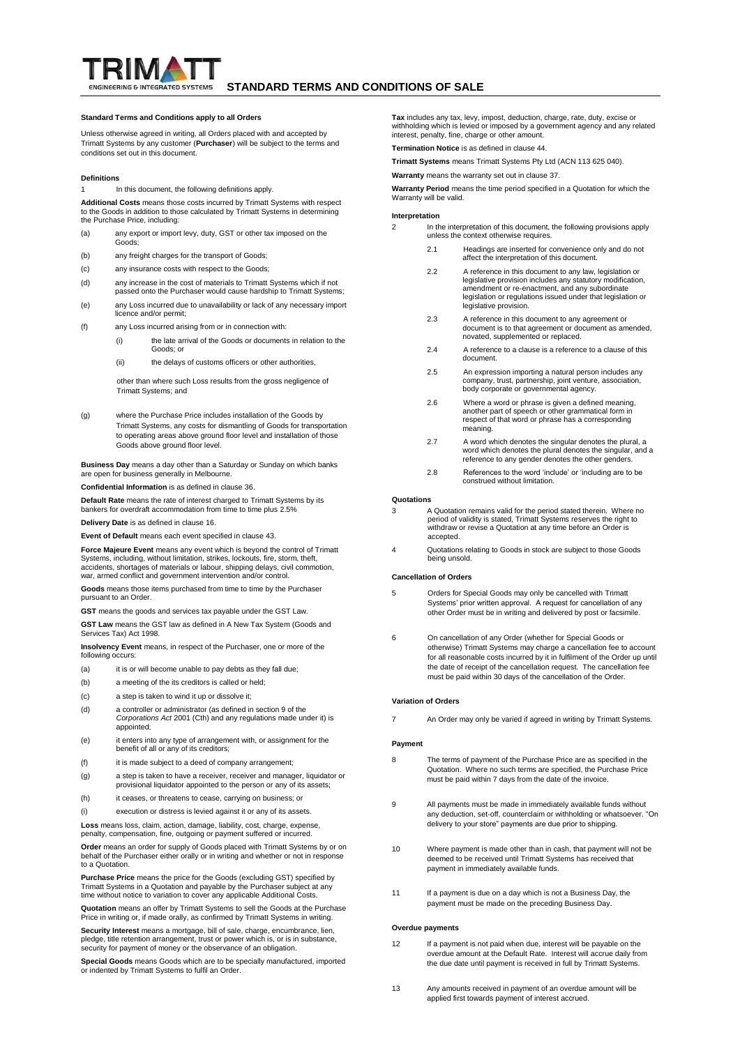

#### **Standard Terms and Conditions apply to all Orders**

Unless otherwise agreed in writing, all Orders placed with and accepted by Trimatt Systems by any customer (**Purchaser**) will be subject to the terms and conditions set out in this document.

#### **Definitions**

1 In this document, the following definitions apply.

**Additional Costs** means those costs incurred by Trimatt Systems with respect to the Goods in addition to those calculated by Trimatt Systems in determining the Purchase Price, including:

- (a) any export or import levy, duty, GST or other tax imposed on the Goods;
- (b) any freight charges for the transport of Goods;
- (c) any insurance costs with respect to the Goods;
- (d) any increase in the cost of materials to Trimatt Systems which if not sed onto the Purchaser would cause hardship to Trimatt Systems;
- (e) any Loss incurred due to unavailability or lack of any necessary import licence and/or permit;
- (f) any Loss incurred arising from or in connection with:
	- (i) the late arrival of the Goods or documents in relation to the Goods; or
	- (ii) the delays of customs officers or other authorities

other than where such Loss results from the gross negligence of Trimatt Systems; and

(g) where the Purchase Price includes installation of the Goods by Trimatt Systems, any costs for dismantling of Goods for transportation to operating areas above ground floor level and installation of those Goods above ground floor level.

**Business Day** means a day other than a Saturday or Sunday on which banks are open for business generally in Melbourne.

**Confidential Information** is as defined in claus[e 36.](#page-1-0)

**Default Rate** means the rate of interest charged to Trimatt Systems by its bankers for overdraft accommodation from time to time plus 2.5%

**Delivery Date** is as defined in claus[e 16.](#page-1-1)

**Event of Default** means each event specified in claus[e 43.](#page-2-0)

**Force Majeure Event** means any event which is beyond the control of Trimatt Systems, including, without limitation, strikes, lockouts, fire, storm, theft, accidents, shortages of materials or labour, shipping delays, civil commotion, war, armed conflict and government intervention and/or control.

**Goods** means those items purchased from time to time by the Purchaser pursuant to an Order.

**GST** means the goods and services tax payable under the GST Law.

**GST Law** means the GST law as defined in A New Tax System (Goods and Services Tax) Act 1998.

**Insolvency Event** means, in respect of the Purchaser, one or more of the following occurs:

- (a) it is or will become unable to pay debts as they fall due;
- (b) a meeting of the its creditors is called or held;
- (c) a step is taken to wind it up or dissolve it;
- (d) a controller or administrator (as defined in section 9 of the *Corporations Act* 2001 (Cth) and any regulations made under it) is appointed;
- (e) it enters into any type of arrangement with, or assignment for the benefit of all or any of its creditors;
- (f) it is made subject to a deed of company arrangement
- (g) a step is taken to have a receiver, receiver and manager, liquidator or provisional liquidator appointed to the person or any of its assets;
- (h) it ceases, or threatens to cease, carrying on business; or
- (i) execution or distress is levied against it or any of its assets.

**Loss** means loss, claim, action, damage, liability, cost, charge, expense, penalty, compensation, fine, outgoing or payment suffered or incurred.

**Order** means an order for supply of Goods placed with Trimatt Systems by or on behalf of the Purchaser either orally or in writing and whether or not in response to a Quotation.

**Purchase Price** means the price for the Goods (excluding GST) specified by Trimatt Systems in a Quotation and payable by the Purchaser subject at any time without notice to variation to cover any applicable Additional Costs.

**Quotation** means an offer by Trimatt Systems to sell the Goods at the Purchase Price in writing or, if made orally, as confirmed by Trimatt Systems in writing.

**Security Interest** means a mortgage, bill of sale, charge, encumbrance, lien, pledge, title retention arrangement, trust or power which is, or is in substance, security for payment of money or the observance of an obligation.

**Special Goods** means Goods which are to be specially manufactured, imported or indented by Trimatt Systems to fulfil an Order.

**Tax** includes any tax, levy, impost, deduction, charge, rate, duty, excise or withholding which is levied or imposed by a government agency and any related interest, penalty, fine, charge or other amount.

**Termination Notice** is as defined in claus[e 44.](#page-2-1)

**Trimatt Systems** means Trimatt Systems Pty Ltd (ACN 113 625 040).

**Warranty** means the warranty set out in claus[e 37.](#page-1-2)

**Warranty Period** means the time period specified in a Quotation for which the Warranty will be valid.

# **Interpretation**

- In the interpretation of this document, the following provisions apply unless the context otherwise requires.
	- 2.1 Headings are inserted for convenience only and do not affect the interpretation of this document.
	- 2.2 A reference in this document to any law, legislation or A reference in this document to any law, regislation of legislative provision includes any statutory modification, amendment or re-enactment, and any subordinate legislation or regulations issued under that legislation or legislative provision.
	- 2.3 A reference in this document to any agreement or document is to that agreement or document as amended, novated, supplemented or replaced.
	- 2.4 A reference to a clause is a reference to a clause of this document.
	- 2.5 An expression importing a natural person includes any company, trust, partnership, joint venture, association, body corporate or governmental agency.
	- 2.6 Where a word or phrase is given a defined meaning, another part of speech or other grammatical form in respect of that word or phrase has a corresponding meaning.
	- 2.7 A word which denotes the singular denotes the plural, a word which denotes the plural denotes the singular, and a reference to any gender denotes the other genders.
	- 2.8 References to the word 'include' or 'including are to be construed without limitation.

#### **Quotations**

- 3 A Quotation remains valid for the period stated therein. Where no period of validity is stated, Trimatt Systems reserves the right to withdraw or revise a Quotation at any time before an Order is accepted.
- 4 Quotations relating to Goods in stock are subject to those Goods being unsold.

# **Cancellation of Orders**

- 5 Orders for Special Goods may only be cancelled with Trimatt Systems' prior written approval. A request for cancellation of any other Order must be in writing and delivered by post or facsimile.
- 6 On cancellation of any Order (whether for Special Goods or otherwise) Trimatt Systems may charge a cancellation fee to account for all reasonable costs incurred by it in fulfilment of the Order up until the date of receipt of the cancellation request. The cancellation fee must be paid within 30 days of the cancellation of the Order.

## **Variation of Orders**

7 An Order may only be varied if agreed in writing by Trimatt Systems.

#### **Payment**

- The terms of payment of the Purchase Price are as specified in the Quotation. Where no such terms are specified, the Purchase Price must be paid within 7 days from the date of the invoice.
- 9 All payments must be made in immediately available funds without any deduction, set-off, counterclaim or withholding or whatsoever. "On delivery to your store" payments are due prior to shipping.
- 10 Where payment is made other than in cash, that payment will not be deemed to be received until Trimatt Systems has received that payment in immediately available funds.
- 11 If a payment is due on a day which is not a Business Day, the payment must be made on the preceding Business Day.

## **Overdue payments**

- 12 If a payment is not paid when due, interest will be payable on the overdue amount at the Default Rate. Interest will accrue daily from the due date until payment is received in full by Trimatt Systems.
- 13 Any amounts received in payment of an overdue amount will be applied first towards payment of interest accrued.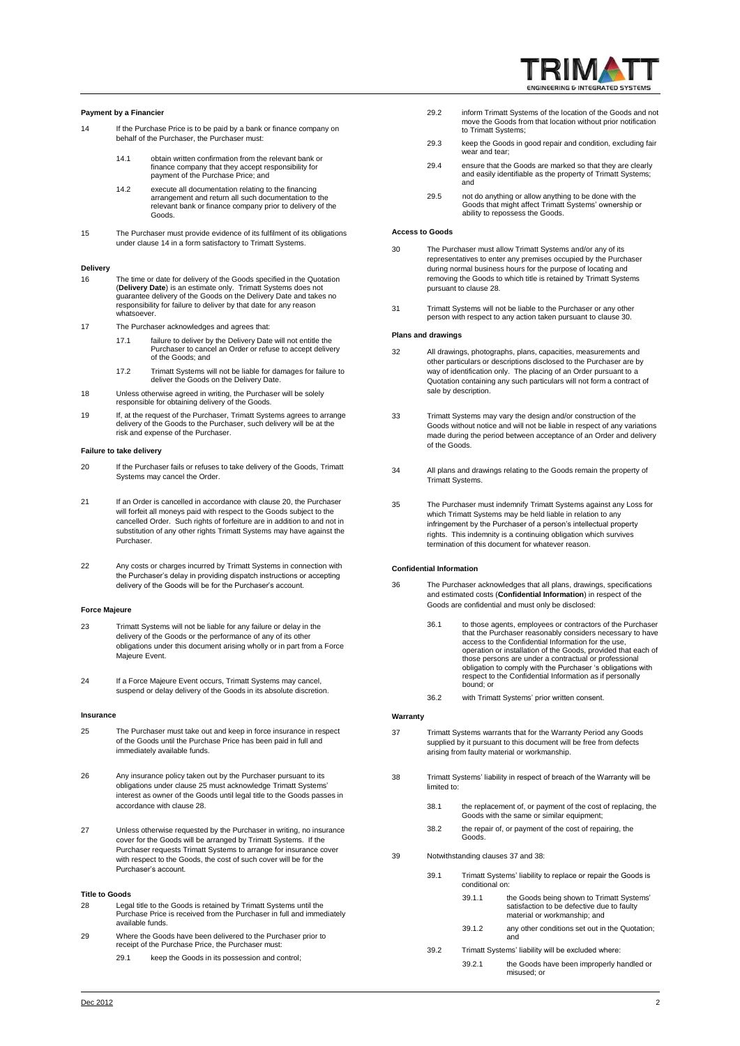

## **Payment by a Financier**

- <span id="page-1-3"></span>14 If the Purchase Price is to be paid by a bank or finance company on behalf of the Purchaser, the Purchaser must:
	- 14.1 obtain written confirmation from the relevant bank or finance company that they accept responsibility for payment of the Purchase Price; and
	- 14.2 execute all documentation relating to the financing arrangement and return all such documentation to the relevant bank or finance company prior to delivery of the Goods.
- 15 The Purchaser must provide evidence of its fulfilment of its obligations under claus[e 14](#page-1-3) in a form satisfactory to Trimatt Systems.

# **Delivery**

- <span id="page-1-1"></span>16 The time or date for delivery of the Goods specified in the Quotation (**Delivery Date**) is an estimate only. Trimatt Systems does not guarantee delivery of the Goods on the Delivery Date and takes no responsibility for failure to deliver by that date for any reason whatsoever
- 17 The Purchaser acknowledges and agrees that:
	- 17.1 failure to deliver by the Delivery Date will not entitle the Purchaser to cancel an Order or refuse to accept delivery of the Goods; and
	- 17.2 Trimatt Systems will not be liable for damages for failure to deliver the Goods on the Delivery Date.
- 18 Unless otherwise agreed in writing, the Purchaser will be solely responsible for obtaining delivery of the Goods.
- 19 If, at the request of the Purchaser, Trimatt Systems agrees to arrange delivery of the Goods to the Purchaser, such delivery will be at the risk and expense of the Purchaser.

#### **Failure to take delivery**

- <span id="page-1-4"></span>20 If the Purchaser fails or refuses to take delivery of the Goods, Trimatt Systems may cancel the Order.
- 21 If an Order is cancelled in accordance with claus[e 20,](#page-1-4) the Purchaser will forfeit all moneys paid with respect to the Goods subject to the cancelled Order. Such rights of forfeiture are in addition to and not in substitution of any other rights Trimatt Systems may have against the Purchaser.
- 22 Any costs or charges incurred by Trimatt Systems in connection with the Purchaser's delay in providing dispatch instructions or accepting delivery of the Goods will be for the Purchaser's account.

#### **Force Majeure**

- 23 Trimatt Systems will not be liable for any failure or delay in the delivery of the Goods or the performance of any of its other obligations under this document arising wholly or in part from a Force Majeure Event.
- 24 If a Force Majeure Event occurs, Trimatt Systems may cancel, suspend or delay delivery of the Goods in its absolute discretion.

#### **Insurance**

- <span id="page-1-5"></span>25 The Purchaser must take out and keep in force insurance in respect of the Goods until the Purchase Price has been paid in full and immediately available funds.
- 26 Any insurance policy taken out by the Purchaser pursuant to its obligations under claus[e 25](#page-1-5) must acknowledge Trimatt Systems' interest as owner of the Goods until legal title to the Goods passes in accordance with claus[e 28.](#page-1-6)
- 27 Unless otherwise requested by the Purchaser in writing, no insurance cover for the Goods will be arranged by Trimatt Systems. If the Purchaser requests Trimatt Systems to arrange for insurance cover with respect to the Goods, the cost of such cover will be for the Purchaser's account.

#### **Title to Goods**

- <span id="page-1-6"></span>28 Legal title to the Goods is retained by Trimatt Systems until the Purchase Price is received from the Purchaser in full and immediately available funds.
- 29 Where the Goods have been delivered to the Purchaser prior to receipt of the Purchase Price, the Purchaser must:
	- 29.1 keep the Goods in its possession and control;
- 29.2 inform Trimatt Systems of the location of the Goods and not move the Goods from that location without prior notification to Trimatt Systems;
- 29.3 keep the Goods in good repair and condition, excluding fair wear and tear;
- 29.4 ensure that the Goods are marked so that they are clearly and easily identifiable as the property of Trimatt Systems; and
- 29.5 not do anything or allow anything to be done with the Goods that might affect Trimatt Systems' ownership or ability to repossess the Goods.

## **Access to Goods**

- <span id="page-1-7"></span>30 The Purchaser must allow Trimatt Systems and/or any of its representatives to enter any premises occupied by the Purchaser during normal business hours for the purpose of locating and removing the Goods to which title is retained by Trimatt Systems pursuant to claus[e 28.](#page-1-6)
- 31 Trimatt Systems will not be liable to the Purchaser or any other person with respect to any action taken pursuant to claus[e 30.](#page-1-7)

# **Plans and drawings**

- 32 All drawings, photographs, plans, capacities, measurements and other particulars or descriptions disclosed to the Purchaser are by way of identification only. The placing of an Order pursuant to a Quotation containing any such particulars will not form a contract of sale by description.
- 33 Trimatt Systems may vary the design and/or construction of the Goods without notice and will not be liable in respect of any variations made during the period between acceptance of an Order and delivery of the Goods.
- 34 All plans and drawings relating to the Goods remain the property of Trimatt Systems.
- 35 The Purchaser must indemnify Trimatt Systems against any Loss for which Trimatt Systems may be held liable in relation to any infringement by the Purchaser of a person's intellectual property rights. This indemnity is a continuing obligation which survives termination of this document for whatever reason.

# **Confidential Information**

- <span id="page-1-0"></span>The Purchaser acknowledges that all plans, drawings, specifications and estimated costs (**Confidential Information**) in respect of the Goods are confidential and must only be disclosed:
	- 36.1 to those agents, employees or contractors of the Purchaser that the Purchaser reasonably considers necessary to have access to the Confidential Information for the use, operation or installation of the Goods, provided that each of those persons are under a contractual or professional obligation to comply with the Purchaser 's obligations with respect to the Confidential Information as if personally bound; or
	- 36.2 with Trimatt Systems' prior written consent.

# **Warranty**

- <span id="page-1-2"></span>37 Trimatt Systems warrants that for the Warranty Period any Goods supplied by it pursuant to this document will be free from defects arising from faulty material or workmanship.
- <span id="page-1-8"></span>38 Trimatt Systems' liability in respect of breach of the Warranty will be limited to:
	- 38.1 the replacement of, or payment of the cost of replacing, the Goods with the same or similar equipment;
	- 38.2 the repair of, or payment of the cost of repairing, the Goods.
- 39 Notwithstanding clause[s 37](#page-1-2) an[d 38:](#page-1-8)
	- 39.1 Trimatt Systems' liability to replace or repair the Goods is conditional on:
		- 39.1.1 the Goods being shown to Trimatt Systems' satisfaction to be defective due to faulty material or workmanship; and
		- 39.1.2 any other conditions set out in the Quotation;
	- and 39.2 Trimatt Systems' liability will be excluded where:
		- 39.2.1 the Goods have been improperly handled or misused; or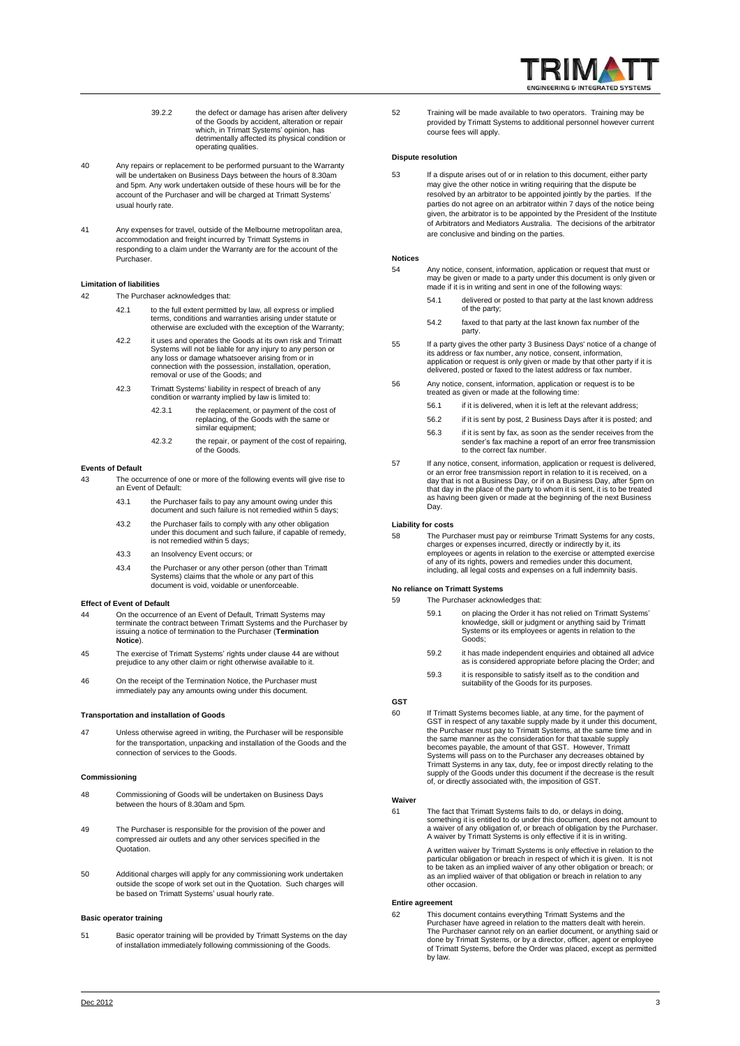

- 39.2.2 the defect or damage has arisen after delivery of the Goods by accident, alteration or repair which, in Trimatt Systems' opinion, has detrimentally affected its physical condition or operating qualities.
- 40 Any repairs or replacement to be performed pursuant to the Warranty will be undertaken on Business Days between the hours of 8.30am and 5pm. Any work undertaken outside of these hours will be for the account of the Purchaser and will be charged at Trimatt Systems' usual hourly rate.
- 41 Any expenses for travel, outside of the Melbourne metropolitan area, accommodation and freight incurred by Trimatt Systems in responding to a claim under the Warranty are for the account of the Purchaser.

# **Limitation of liabilities**

- 42 The Purchaser acknowledges that:
	- 42.1 to the full extent permitted by law, all express or implied terms, conditions and warranties arising under statute or otherwise are excluded with the exception of the Warranty;
	- 42.2 it uses and operates the Goods at its own risk and Trimatt Systems will not be liable for any injury to any person or any loss or damage whatsoever arising from or in connection with the possession, installation, operation, removal or use of the Goods; and
	- 42.3 Trimatt Systems' liability in respect of breach of any condition or warranty implied by law is limited to
		- 42.3.1 the replacement, or payment of the cost of replacing, of the Goods with the same or similar equipment:
		- 42.3.2 the repair, or payment of the cost of repairing, of the Goods.

# **Events of Default**

- <span id="page-2-0"></span>43 The occurrence of one or more of the following events will give rise to an Event of Default
	- 43.1 the Purchaser fails to pay any amount owing under this document and such failure is not remedied within 5 days;
	- 43.2 the Purchaser fails to comply with any other obligation under this document and such failure, if capable of remedy, is not remedied within 5 days;
	- 43.3 an Insolvency Event occurs; or
	- 43.4 the Purchaser or any other person (other than Trimatt Systems) claims that the whole or any part of this document is void, voidable or unenforceable.

# **Effect of Event of Default**

- <span id="page-2-1"></span>44 On the occurrence of an Event of Default, Trimatt Systems may terminate the contract between Trimatt Systems and the Purchaser by issuing a notice of termination to the Purchaser (**Termination Notice**).
- 45 The exercise of Trimatt Systems' rights under claus[e 44](#page-2-1) are without prejudice to any other claim or right otherwise available to it.
- 46 On the receipt of the Termination Notice, the Purchaser must immediately pay any amounts owing under this document.

# **Transportation and installation of Goods**

47 Unless otherwise agreed in writing, the Purchaser will be responsible for the transportation, unpacking and installation of the Goods and the connection of services to the Goods.

#### **Commissioning**

- 48 Commissioning of Goods will be undertaken on Business Days between the hours of 8.30am and 5pm.
- 49 The Purchaser is responsible for the provision of the power and compressed air outlets and any other services specified in the Quotation.
- 50 Additional charges will apply for any commissioning work undertaken outside the scope of work set out in the Quotation. Such charges will be based on Trimatt Systems' usual hourly rate.

#### **Basic operator training**

51 Basic operator training will be provided by Trimatt Systems on the day of installation immediately following commissioning of the Goods.

52 Training will be made available to two operators. Training may be provided by Trimatt Systems to additional personnel however current course fees will apply.

# **Dispute resolution**

53 If a dispute arises out of or in relation to this document, either party may give the other notice in writing requiring that the dispute be resolved by an arbitrator to be appointed jointly by the parties. If the parties do not agree on an arbitrator within 7 days of the notice being given, the arbitrator is to be appointed by the President of the Institute of Arbitrators and Mediators Australia. The decisions of the arbitrator are conclusive and binding on the parties.

## **Notices**

- 54 Any notice, consent, information, application or request that must or may be given or made to a party under this document is only given or made if it is in writing and sent in one of the following ways:
	- delivered or posted to that party at the last known address of the party;
	- 54.2 faxed to that party at the last known fax number of the party.
- 55 If a party gives the other party 3 Business Days' notice of a change of its address or fax number, any notice, consent, information, application or request is only given or made by that other party if it is delivered, posted or faxed to the latest address or fax number.
- 56 Any notice, consent, information, application or request is to be treated as given or made at the following time:
	- 56.1 if it is delivered, when it is left at the relevant address;
	- 56.2 if it is sent by post, 2 Business Days after it is posted; and
	- 56.3 if it is sent by fax, as soon as the sender receives from the sender's fax machine a report of an error free transmission to the correct fax number.
- 57 If any notice, consent, information, application or request is delivered, or an error free transmission report in relation to it is received, on a day that is not a Business Day, or if on a Business Day, after 5pm on that day in the place of the party to whom it is sent, it is to be treated as having been given or made at the beginning of the next Business Day.

## **Liability for costs**

58 The Purchaser must pay or reimburse Trimatt Systems for any costs, charges or expenses incurred, directly or indirectly by it, its employees or agents in relation to the exercise or attempted exercise of any of its rights, powers and remedies under this document, including, all legal costs and expenses on a full indemnity basis.

## **No reliance on Trimatt Systems**

- The Purchaser acknowledges that:
	- 59.1 on placing the Order it has not relied on Trimatt Systems' knowledge, skill or judgment or anything said by Trimatt Systems or its employees or agents in relation to the Goods;
	- 59.2 it has made independent enquiries and obtained all advice as is considered appropriate before placing the Order; and
	- 59.3 it is responsible to satisfy itself as to the condition and suitability of the Goods for its purposes.

# **GST**

60 If Trimatt Systems becomes liable, at any time, for the payment of GST in respect of any taxable supply made by it under this document, the Purchaser must pay to Trimatt Systems, at the same time and in the same manner as the consideration for that taxable supply becomes payable, the amount of that GST. However, Trimatt Systems will pass on to the Purchaser any decreases obtained by Trimatt Systems in any tax, duty, fee or impost directly relating to the supply of the Goods under this document if the decrease is the result of, or directly associated with, the imposition of GST.

# **Waiver**

61 The fact that Trimatt Systems fails to do, or delays in doing,<br>something it is entitled to do under this document, does not amount to<br>a waiver of any obligation of, or breach of obligation by the Purchaser.<br>A waiver by

A written waiver by Trimatt Systems is only effective in relation to the particular obligation or breach in respect of which it is given. It is not to be taken as an implied waiver of any other obligation or breach; or as an implied waiver of that obligation or breach in relation to any other occasion.

# **Entire agreement**

62 This document contains everything Trimatt Systems and the Purchaser have agreed in relation to the matters dealt with herein. The Purchaser cannot rely on an earlier document, or anything said or done by Trimatt Systems, or by a director, officer, agent or employee of Trimatt Systems, before the Order was placed, except as permitted by law.